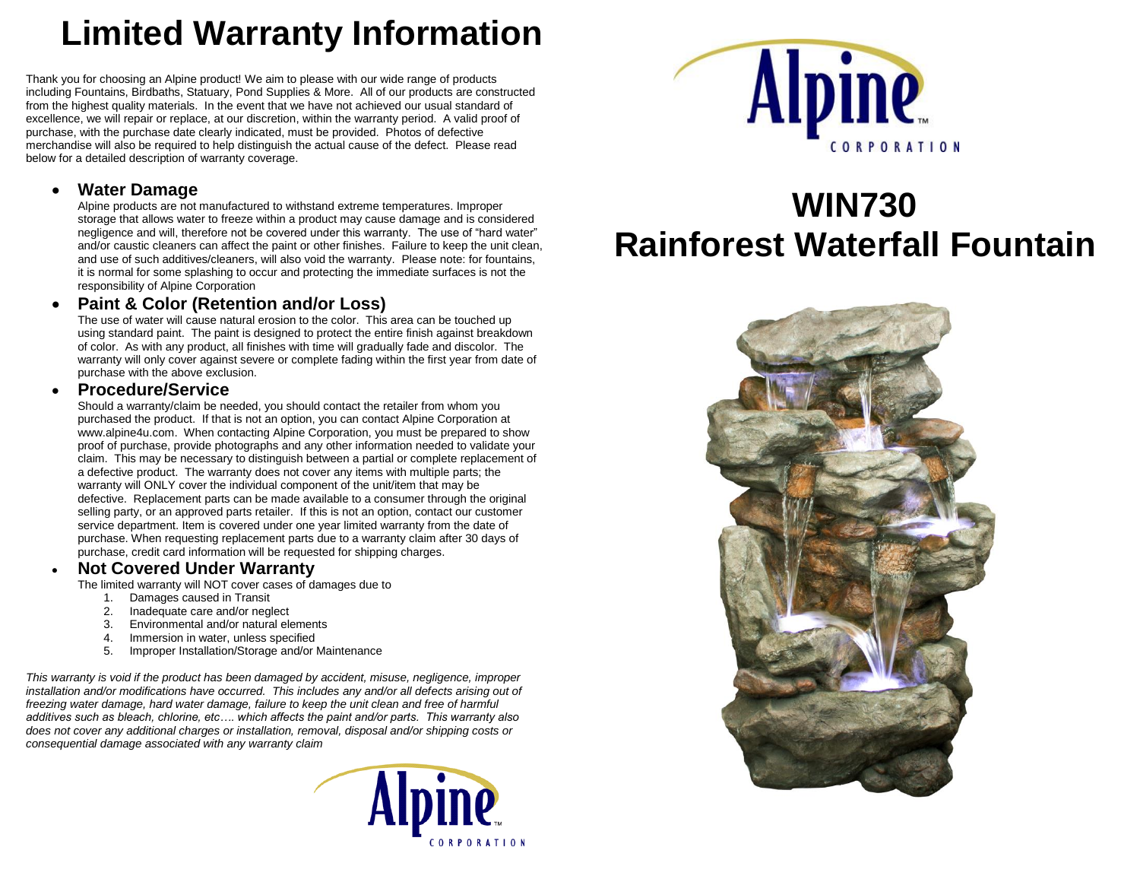# **Limited Warranty Information**

Thank you for choosing an Alpine product! We aim to please with our wide range of products including Fountains, Birdbaths, Statuary, Pond Supplies & More. All of our products are constructed from the highest quality materials. In the event that we have not achieved our usual standard of excellence, we will repair or replace, at our discretion, within the warranty period. A valid proof of purchase, with the purchase date clearly indicated, must be provided. Photos of defective merchandise will also be required to help distinguish the actual cause of the defect. Please read below for a detailed description of warranty coverage.

### **Water Damage**

Alpine products are not manufactured to withstand extreme temperatures. Improper storage that allows water to freeze within a product may cause damage and is considered negligence and will, therefore not be covered under this warranty. The use of "hard water" and/or caustic cleaners can affect the paint or other finishes. Failure to keep the unit clean, and use of such additives/cleaners, will also void the warranty. Please note: for fountains, it is normal for some splashing to occur and protecting the immediate surfaces is not the responsibility of Alpine Corporation

### **Paint & Color (Retention and/or Loss)**

The use of water will cause natural erosion to the color. This area can be touched up using standard paint. The paint is designed to protect the entire finish against breakdown of color. As with any product, all finishes with time will gradually fade and discolor. The warranty will only cover against severe or complete fading within the first year from date of purchase with the above exclusion.

#### **Procedure/Service**

Should a warranty/claim be needed, you should contact the retailer from whom you purchased the product. If that is not an option, you can contact Alpine Corporation at [www.alpine4u.com.](http://www.alpine4u.com/) When contacting Alpine Corporation, you must be prepared to show proof of purchase, provide photographs and any other information needed to validate your claim. This may be necessary to distinguish between a partial or complete replacement of a defective product. The warranty does not cover any items with multiple parts; the warranty will ONLY cover the individual component of the unit/item that may be defective. Replacement parts can be made available to a consumer through the original selling party, or an approved parts retailer. If this is not an option, contact our customer service department. Item is covered under one year limited warranty from the date of purchase. When requesting replacement parts due to a warranty claim after 30 days of purchase, credit card information will be requested for shipping charges.

#### **Not Covered Under Warranty**

The limited warranty will NOT cover cases of damages due to

- 1. Damages caused in Transit
- 2. Inadequate care and/or neglect
- 3. Environmental and/or natural elements
- 4. Immersion in water, unless specified
- 5. Improper Installation/Storage and/or Maintenance

*This warranty is void if the product has been damaged by accident, misuse, negligence, improper installation and/or modifications have occurred. This includes any and/or all defects arising out of freezing water damage, hard water damage, failure to keep the unit clean and free of harmful additives such as bleach, chlorine, etc…. which affects the paint and/or parts. This warranty also does not cover any additional charges or installation, removal, disposal and/or shipping costs or consequential damage associated with any warranty claim*





# **WIN730 Rainforest Waterfall Fountain**